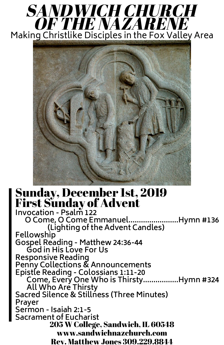## Sunday, December 1st, 2019 First Sunday of Advent

**Invocation - Psalm 122 O Come, O Come Emmanuel........................Hymn #136 (Lighting of the Advent Candles) Fellowship Gospel Reading - Matthew 24:36-44 God in His Love For Us**

**Responsive Reading Penny Collections & Announcements Epistle Reading - Colossians 1:11-20 Come, Every One Who is Thirsty.................Hymn #324 All Who Are Thirsty Sacred Silence & Stillness (Three Minutes) Prayer Sermon - Isaiah 2:1-5 Sacrament of Eucharist** 205 W College, Sandwich, IL 60548 www.sandwichnazchurch.com Rev. Matthew Jones 309.229.8844